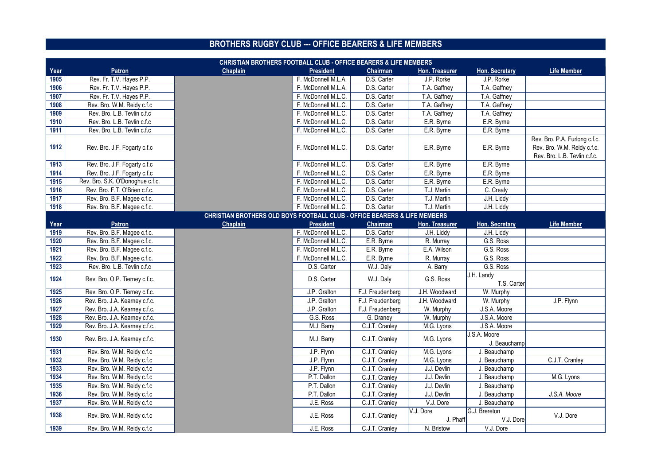|      | <b>CHRISTIAN BROTHERS FOOTBALL CLUB - OFFICE BEARERS &amp; LIFE MEMBERS</b> |                                                                           |                     |                  |                       |                              |                                                                                              |
|------|-----------------------------------------------------------------------------|---------------------------------------------------------------------------|---------------------|------------------|-----------------------|------------------------------|----------------------------------------------------------------------------------------------|
| Year | <b>Patron</b>                                                               | <b>Chaplain</b>                                                           | <b>President</b>    | <b>Chairman</b>  | <b>Hon. Treasurer</b> | <b>Hon. Secretary</b>        | <b>Life Member</b>                                                                           |
| 1905 | Rev. Fr. T.V. Hayes P.P.                                                    |                                                                           | F. McDonnell M.L.A. | D.S. Carter      | J.P. Rorke            | J.P. Rorke                   |                                                                                              |
| 1906 | Rev. Fr. T.V. Hayes P.P.                                                    |                                                                           | F. McDonnell M.L.A. | D.S. Carter      | T.A. Gaffney          | T.A. Gaffney                 |                                                                                              |
| 1907 | Rev. Fr. T.V. Hayes P.P.                                                    |                                                                           | F. McDonnell M.L.C. | D.S. Carter      | T.A. Gaffney          | T.A. Gaffney                 |                                                                                              |
| 1908 | Rev. Bro. W.M. Reidy c.f.c                                                  |                                                                           | F. McDonnell M.L.C. | D.S. Carter      | T.A. Gaffney          | T.A. Gaffney                 |                                                                                              |
| 1909 | Rev. Bro. L.B. Tevlin c.f.c                                                 |                                                                           | F. McDonnell M.L.C. | D.S. Carter      | T.A. Gaffney          | T.A. Gaffney                 |                                                                                              |
| 1910 | Rev. Bro. L.B. Tevlin c.f.c                                                 |                                                                           | F. McDonnell M.L.C. | D.S. Carter      | E.R. Byrne            | E.R. Byrne                   |                                                                                              |
| 1911 | Rev. Bro. L.B. Tevlin c.f.c                                                 |                                                                           | F. McDonnell M.L.C. | D.S. Carter      | E.R. Byrne            | E.R. Byrne                   |                                                                                              |
| 1912 | Rev. Bro. J.F. Fogarty c.f.c                                                |                                                                           | F. McDonnell M.L.C. | D.S. Carter      | E.R. Byrne            | E.R. Byrne                   | Rev. Bro. P.A. Furlong c.f.c.<br>Rev. Bro. W.M. Reidy c.f.c.<br>Rev. Bro. L.B. Tevlin c.f.c. |
| 1913 | Rev. Bro. J.F. Fogarty c.f.c                                                |                                                                           | F. McDonnell M.L.C. | D.S. Carter      | E.R. Byrne            | E.R. Byrne                   |                                                                                              |
| 1914 | Rev. Bro. J.F. Fogarty c.f.c                                                |                                                                           | F. McDonnell M.L.C. | D.S. Carter      | E.R. Byrne            | E.R. Byrne                   |                                                                                              |
| 1915 | Rev. Bro. S.K. O'Donoghue c.f.c.                                            |                                                                           | F. McDonnell M.L.C. | D.S. Carter      | E.R. Byrne            | E.R. Byrne                   |                                                                                              |
| 1916 | Rev. Bro. F.T. O'Brien c.f.c.                                               |                                                                           | F. McDonnell M.L.C. | D.S. Carter      | T.J. Martin           | C. Crealy                    |                                                                                              |
| 1917 | Rev. Bro. B.F. Magee c.f.c.                                                 |                                                                           | F. McDonnell M.L.C. | D.S. Carter      | T.J. Martin           | J.H. Liddy                   |                                                                                              |
| 1918 | Rev. Bro. B.F. Magee c.f.c.                                                 |                                                                           | F. McDonnell M.L.C. | D.S. Carter      | T.J. Martin           | J.H. Liddy                   |                                                                                              |
|      |                                                                             | CHRISTIAN BROTHERS OLD BOYS FOOTBALL CLUB - OFFICE BEARERS & LIFE MEMBERS |                     |                  |                       |                              |                                                                                              |
| Year | <b>Patron</b>                                                               | <b>Chaplain</b>                                                           | <b>President</b>    | <b>Chairman</b>  | Hon. Treasurer        | <b>Hon. Secretary</b>        | <b>Life Member</b>                                                                           |
| 1919 | Rev. Bro. B.F. Magee c.f.c.                                                 |                                                                           | F. McDonnell M.L.C. | D.S. Carter      | J.H. Liddy            | J.H. Liddy                   |                                                                                              |
| 1920 | Rev. Bro. B.F. Magee c.f.c.                                                 |                                                                           | F. McDonnell M.L.C. | E.R. Byrne       | R. Murray             | G.S. Ross                    |                                                                                              |
| 1921 | Rev. Bro. B.F. Magee c.f.c.                                                 |                                                                           | F. McDonnell M.L.C. | E.R. Byrne       | E.A. Wilson           | G.S. Ross                    |                                                                                              |
| 1922 | Rev. Bro. B.F. Magee c.f.c.                                                 |                                                                           | F. McDonnell M.L.C. | E.R. Byrne       | R. Murray             | G.S. Ross                    |                                                                                              |
| 1923 | Rev. Bro. L.B. Tevlin c.f.c                                                 |                                                                           | D.S. Carter         | W.J. Daly        | A. Barry              | G.S. Ross                    |                                                                                              |
| 1924 | Rev. Bro. O.P. Tierney c.f.c.                                               |                                                                           | D.S. Carter         | W.J. Daly        | G.S. Ross             | J.H. Landy<br>T.S. Carter    |                                                                                              |
| 1925 | Rev. Bro. O.P. Tierney c.f.c.                                               |                                                                           | J.P. Gralton        | F.J. Freudenberg | J.H. Woodward         | W. Murphy                    |                                                                                              |
| 1926 | Rev. Bro. J.A. Kearney c.f.c.                                               |                                                                           | J.P. Gralton        | F.J. Freudenberg | J.H. Woodward         | W. Murphy                    | J.P. Flynn                                                                                   |
| 1927 | Rev. Bro. J.A. Kearney c.f.c.                                               |                                                                           | J.P. Gralton        | F.J. Freudenberg | W. Murphy             | J.S.A. Moore                 |                                                                                              |
| 1928 | Rev. Bro. J.A. Kearney c.f.c.                                               |                                                                           | G.S. Ross           | G. Draney        | W. Murphy             | J.S.A. Moore                 |                                                                                              |
| 1929 | Rev. Bro. J.A. Kearney c.f.c.                                               |                                                                           | M.J. Barry          | C.J.T. Cranley   | M.G. Lyons            | J.S.A. Moore                 |                                                                                              |
| 1930 | Rev. Bro. J.A. Kearney c.f.c.                                               |                                                                           | M.J. Barry          | C.J.T. Cranley   | M.G. Lyons            | J.S.A. Moore<br>J. Beauchamp |                                                                                              |
| 1931 | Rev. Bro. W.M. Reidy c.f.c                                                  |                                                                           | J.P. Flynn          | C.J.T. Cranley   | M.G. Lyons            | J. Beauchamp                 |                                                                                              |
| 1932 | Rev. Bro. W.M. Reidy c.f.c                                                  |                                                                           | J.P. Flynn          | C.J.T. Cranley   | M.G. Lyons            | J. Beauchamp                 | C.J.T. Cranley                                                                               |
| 1933 | Rev. Bro. W.M. Reidy c.f.c                                                  |                                                                           | J.P. Flynn          | C.J.T. Cranley   | J.J. Devlin           | J. Beauchamp                 |                                                                                              |
| 1934 | Rev. Bro. W.M. Reidy c.f.c                                                  |                                                                           | P.T. Dallon         | C.J.T. Cranley   | J.J. Devlin           | J. Beauchamp                 | M.G. Lyons                                                                                   |
| 1935 | Rev. Bro. W.M. Reidy c.f.c                                                  |                                                                           | P.T. Dallon         | C.J.T. Cranley   | J.J. Devlin           | J. Beauchamp                 |                                                                                              |
| 1936 | Rev. Bro. W.M. Reidy c.f.c                                                  |                                                                           | P.T. Dallon         | C.J.T. Cranley   | J.J. Devlin           | J. Beauchamp                 | J.S.A. Moore                                                                                 |
| 1937 | Rev. Bro. W.M. Reidy c.f.c                                                  |                                                                           | J.E. Ross           | C.J.T. Cranley   | V.J. Dore             | J. Beauchamp                 |                                                                                              |
| 1938 | Rev. Bro. W.M. Reidy c.f.c                                                  |                                                                           | J.E. Ross           | C.J.T. Cranley   | V.J. Dore<br>J. Phaff | G.J. Brereton<br>V.J. Dore   | V.J. Dore                                                                                    |
| 1939 | Rev. Bro. W.M. Reidy c.f.c                                                  |                                                                           | J.E. Ross           | C.J.T. Cranley   | N. Bristow            | V.J. Dore                    |                                                                                              |

## **BROTHERS RUGBY CLUB --- OFFICE BEARERS & LIFE MEMBERS**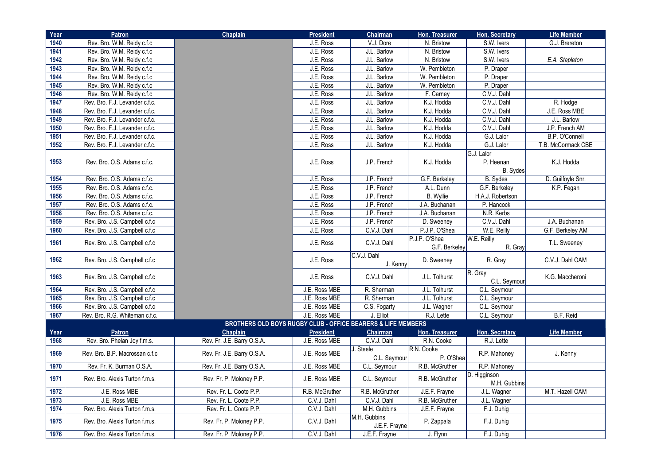| Year | <b>Patron</b>                  | <b>Chaplain</b>                                                         | <b>President</b> | <b>Chairman</b>               | Hon. Treasurer                 | <b>Hon. Secretary</b>        | <b>Life Member</b> |
|------|--------------------------------|-------------------------------------------------------------------------|------------------|-------------------------------|--------------------------------|------------------------------|--------------------|
| 1940 | Rev. Bro. W.M. Reidy c.f.c     |                                                                         | J.E. Ross        | V.J. Dore                     | N. Bristow                     | S.W. Ivers                   | G.J. Brereton      |
| 1941 | Rev. Bro. W.M. Reidy c.f.c     |                                                                         | J.E. Ross        | J.L. Barlow                   | N. Bristow                     | S.W. Ivers                   |                    |
| 1942 | Rev. Bro. W.M. Reidy c.f.c     |                                                                         | J.E. Ross        | J.L. Barlow                   | N. Bristow                     | S.W. Ivers                   | E.A. Stapleton     |
| 1943 | Rev. Bro. W.M. Reidy c.f.c     |                                                                         | J.E. Ross        | J.L. Barlow                   | W. Pembleton                   | P. Draper                    |                    |
| 1944 | Rev. Bro. W.M. Reidy c.f.c     |                                                                         | J.E. Ross        | J.L. Barlow                   | W. Pembleton                   | P. Draper                    |                    |
| 1945 | Rev. Bro. W.M. Reidy c.f.c     |                                                                         | J.E. Ross        | J.L. Barlow                   | W. Pembleton                   | P. Draper                    |                    |
| 1946 | Rev. Bro. W.M. Reidy c.f.c     |                                                                         | J.E. Ross        | J.L. Barlow                   | F. Carney                      | C.V.J. Dahl                  |                    |
| 1947 | Rev. Bro. F.J. Levander c.f.c. |                                                                         | J.E. Ross        | J.L. Barlow                   | K.J. Hodda                     | C.V.J. Dahl                  | R. Hodge           |
| 1948 | Rev. Bro. F.J. Levander c.f.c. |                                                                         | J.E. Ross        | J.L. Barlow                   | K.J. Hodda                     | C.V.J. Dahl                  | J.E. Ross MBE      |
| 1949 | Rev. Bro. F.J. Levander c.f.c. |                                                                         | J.E. Ross        | J.L. Barlow                   | K.J. Hodda                     | C.V.J. Dahl                  | J.L. Barlow        |
| 1950 | Rev. Bro. F.J. Levander c.f.c. |                                                                         | J.E. Ross        | J.L. Barlow                   | K.J. Hodda                     | C.V.J. Dahl                  | J.P. French AM     |
| 1951 | Rev. Bro. F.J. Levander c.f.c. |                                                                         | J.E. Ross        | J.L. Barlow                   | K.J. Hodda                     | G.J. Lalor                   | B.P. O'Connell     |
| 1952 | Rev. Bro. F.J. Levander c.f.c. |                                                                         | J.E. Ross        | J.L. Barlow                   | K.J. Hodda                     | G.J. Lalor                   | T.B. McCormack CBE |
|      |                                |                                                                         |                  |                               |                                | G.J. Lalor                   |                    |
| 1953 | Rev. Bro. O.S. Adams c.f.c.    |                                                                         | J.E. Ross        | J.P. French                   | K.J. Hodda                     | P. Heenan                    | K.J. Hodda         |
|      |                                |                                                                         |                  |                               |                                | B. Sydes                     |                    |
| 1954 | Rev. Bro. O.S. Adams c.f.c.    |                                                                         | J.E. Ross        | J.P. French                   | G.F. Berkeley                  | B. Sydes                     | D. Guilfoyle Snr.  |
| 1955 | Rev. Bro. O.S. Adams c.f.c.    |                                                                         | J.E. Ross        | J.P. French                   | A.L. Dunn                      | G.F. Berkeley                | K.P. Fegan         |
| 1956 | Rev. Bro. O.S. Adams c.f.c.    |                                                                         | J.E. Ross        | J.P. French                   | <b>B.</b> Wyllie               | H.A.J. Robertson             |                    |
| 1957 | Rev. Bro. O.S. Adams c.f.c.    |                                                                         | J.E. Ross        | J.P. French                   | J.A. Buchanan                  | P. Hancock                   |                    |
| 1958 | Rev. Bro. O.S. Adams c.f.c.    |                                                                         | J.E. Ross        | J.P. French                   | J.A. Buchanan                  | N.R. Kerbs                   |                    |
| 1959 | Rev. Bro. J.S. Campbell c.f.c  |                                                                         | J.E. Ross        | J.P. French                   | D. Sweeney                     | C.V.J. Dahl                  | J.A. Buchanan      |
| 1960 | Rev. Bro. J.S. Campbell c.f.c  |                                                                         | J.E. Ross        | C.V.J. Dahl                   | P.J.P. O'Shea                  | W.E. Reilly                  | G.F. Berkeley AM   |
| 1961 | Rev. Bro. J.S. Campbell c.f.c  |                                                                         | J.E. Ross        | C.V.J. Dahl                   | P.J.P. O'Shea<br>G.F. Berkeley | W.E. Reilly<br>$R.$ Gray     | T.L. Sweeney       |
| 1962 | Rev. Bro. J.S. Campbell c.f.c  |                                                                         | J.E. Ross        | C.V.J. Dahl<br>J. Kenny       | D. Sweeney                     | R. Gray                      | C.V.J. Dahl OAM    |
| 1963 | Rev. Bro. J.S. Campbell c.f.c  |                                                                         | J.E. Ross        | C.V.J. Dahl                   | J.L. Tolhurst                  | $R$ . Gray<br>C.L. Seymour   | K.G. Maccheroni    |
| 1964 | Rev. Bro. J.S. Campbell c.f.c  |                                                                         | J.E. Ross MBE    | R. Sherman                    | J.L. Tolhurst                  | C.L. Seymour                 |                    |
| 1965 | Rev. Bro. J.S. Campbell c.f.c  |                                                                         | J.E. Ross MBE    | R. Sherman                    | J.L. Tolhurst                  | C.L. Seymour                 |                    |
| 1966 | Rev. Bro. J.S. Campbell c.f.c  |                                                                         | J.E. Ross MBE    | C.S. Fogarty                  | J.L. Wagner                    | C.L. Seymour                 |                    |
| 1967 | Rev. Bro. R.G. Whiteman c.f.c. |                                                                         | J.E. Ross MBE    | J. Elliot                     | R.J. Lette                     | C.L. Seymour                 | B.F. Reid          |
|      |                                | <b>BROTHERS OLD BOYS RUGBY CLUB - OFFICE BEARERS &amp; LIFE MEMBERS</b> |                  |                               |                                |                              |                    |
| Year | <b>Patron</b>                  | <b>Chaplain</b>                                                         | <b>President</b> | <b>Chairman</b>               | Hon. Treasurer                 | Hon. Secretary               | <b>Life Member</b> |
| 1968 | Rev. Bro. Phelan Joy f.m.s.    | Rev. Fr. J.E. Barry O.S.A.                                              | J.E. Ross MBE    | C.V.J. Dahl                   | R.N. Cooke                     | R.J. Lette                   |                    |
| 1969 | Rev. Bro. B.P. Macrossan c.f.c | Rev. Fr. J.E. Barry O.S.A.                                              | J.E. Ross MBE    | J. Steele<br>C.L. Seymour     | R.N. Cooke<br>P. O'Shea        | R.P. Mahoney                 | J. Kenny           |
| 1970 | Rev. Fr. K. Burman O.S.A.      | Rev. Fr. J.E. Barry O.S.A.                                              | J.E. Ross MBE    | C.L. Seymour                  | R.B. McGruther                 | R.P. Mahoney                 |                    |
| 1971 | Rev. Bro. Alexis Turton f.m.s. | Rev. Fr. P. Moloney P.P.                                                | J.E. Ross MBE    | C.L. Seymour                  | R.B. McGruther                 | D. Higginson<br>M.H. Gubbins |                    |
| 1972 | J.E. Ross MBE                  | Rev. Fr. L. Coote P.P.                                                  | R.B. McGruther   | R.B. McGruther                | J.E.F. Frayne                  | J.L. Wagner                  | M.T. Hazell OAM    |
| 1973 | J.E. Ross MBE                  | Rev. Fr. L. Coote P.P.                                                  | C.V.J. Dahl      | C.V.J. Dahl                   | R.B. McGruther                 | J.L. Wagner                  |                    |
| 1974 | Rev. Bro. Alexis Turton f.m.s. | Rev. Fr. L. Coote P.P.                                                  | C.V.J. Dahl      | M.H. Gubbins                  | J.E.F. Frayne                  | F.J. Duhig                   |                    |
| 1975 | Rev. Bro. Alexis Turton f.m.s. | Rev. Fr. P. Moloney P.P.                                                | C.V.J. Dahl      | M.H. Gubbins<br>J.E.F. Frayne | P. Zappala                     | F.J. Duhig                   |                    |
| 1976 | Rev. Bro. Alexis Turton f.m.s. | Rev. Fr. P. Moloney P.P.                                                | C.V.J. Dahl      | J.E.F. Frayne                 | J. Flynn                       | F.J. Duhig                   |                    |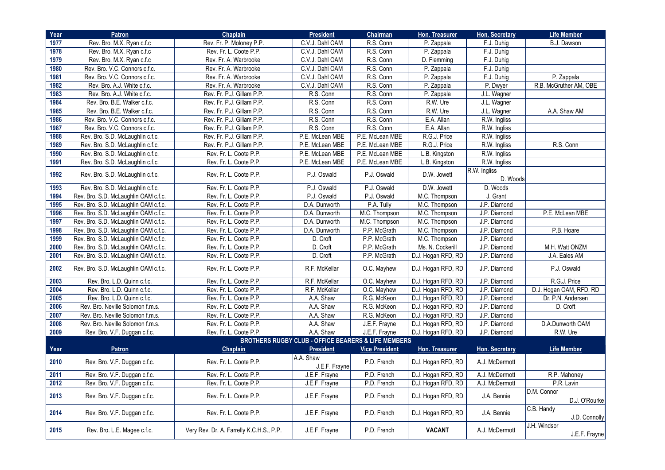| Year        | <b>Patron</b>                        | <b>Chaplain</b>                          | <b>President</b>                                               | <b>Chairman</b>       | <b>Hon. Treasurer</b> | <b>Hon. Secretary</b>    | <b>Life Member</b>            |
|-------------|--------------------------------------|------------------------------------------|----------------------------------------------------------------|-----------------------|-----------------------|--------------------------|-------------------------------|
| 1977        | Rev. Bro. M.X. Ryan c.f.c            | Rev. Fr. P. Moloney P.P.                 | C.V.J. Dahl OAM                                                | R.S. Conn             | P. Zappala            | F.J. Duhig               | B.J. Dawson                   |
| 1978        | Rev. Bro. M.X. Ryan c.f.c            | Rev. Fr. L. Coote P.P.                   | C.V.J. Dahl OAM                                                | R.S. Conn             | P. Zappala            | F.J. Duhig               |                               |
| 1979        | Rev. Bro. M.X. Ryan c.f.c            | Rev. Fr. A. Warbrooke                    | C.V.J. Dahl OAM                                                | R.S. Conn             | D. Flemming           | F.J. Duhig               |                               |
| 1980        | Rev. Bro. V.C. Connors c.f.c.        | Rev. Fr. A. Warbrooke                    | C.V.J. Dahl OAM                                                | R.S. Conn             | P. Zappala            | F.J. Duhig               |                               |
| 1981        | Rev. Bro. V.C. Connors c.f.c.        | Rev. Fr. A. Warbrooke                    | C.V.J. Dahl OAM                                                | R.S. Conn             | P. Zappala            | F.J. Duhig               | P. Zappala                    |
| 1982        | Rev. Bro. A.J. White c.f.c.          | Rev. Fr. A. Warbrooke                    | C.V.J. Dahl OAM                                                | R.S. Conn             | P. Zappala            | P. Dwyer                 | R.B. McGruther AM, OBE        |
| 1983        | Rev. Bro. A.J. White c.f.c.          | Rev. Fr. P.J. Gillam P.P.                | R.S. Conn                                                      | R.S. Conn             | P. Zappala            | J.L. Wagner              |                               |
| 1984        | Rev. Bro. B.E. Walker c.f.c.         | Rev. Fr. P.J. Gillam P.P.                | R.S. Conn                                                      | R.S. Conn             | R.W. Ure              | J.L. Wagner              |                               |
| <b>1985</b> | Rev. Bro. B.E. Walker c.f.c.         | Rev. Fr. P.J. Gillam P.P.                | R.S. Conn                                                      | R.S. Conn             | R.W. Ure              | J.L. Wagner              | A.A. Shaw AM                  |
| 1986        | Rev. Bro. V.C. Connors c.f.c.        | Rev. Fr. P.J. Gillam P.P.                | R.S. Conn                                                      | R.S. Conn             | E.A. Allan            | R.W. Ingliss             |                               |
| 1987        | Rev. Bro. V.C. Connors c.f.c.        | Rev. Fr. P.J. Gillam P.P.                | R.S. Conn                                                      | R.S. Conn             | E.A. Allan            | R.W. Ingliss             |                               |
| 1988        | Rev. Bro. S.D. McLaughlin c.f.c.     | Rev. Fr. P.J. Gillam P.P.                | P.E. McLean MBE                                                | P.E. McLean MBE       | R.G.J. Price          | R.W. Ingliss             |                               |
| 1989        | Rev. Bro. S.D. McLaughlin c.f.c.     | Rev. Fr. P.J. Gillam P.P.                | P.E. McLean MBE                                                | P.E. McLean MBE       | R.G.J. Price          | R.W. Ingliss             | R.S. Conn                     |
| 1990        | Rev. Bro. S.D. McLaughlin c.f.c.     | Rev. Fr. L. Coote P.P.                   | P.E. McLean MBE                                                | P.E. McLean MBE       | L.B. Kingston         | R.W. Ingliss             |                               |
| 1991        | Rev. Bro. S.D. McLaughlin c.f.c.     | Rev. Fr. L. Coote P.P.                   | P.E. McLean MBE                                                | P.E. McLean MBE       | L.B. Kingston         | R.W. Ingliss             |                               |
| 1992        | Rev. Bro. S.D. McLaughlin c.f.c.     | Rev. Fr. L. Coote P.P.                   | P.J. Oswald                                                    | P.J. Oswald           | D.W. Jowett           | R.W. Ingliss<br>D. Woods |                               |
| 1993        | Rev. Bro. S.D. McLaughlin c.f.c.     | Rev. Fr. L. Coote P.P.                   | P.J. Oswald                                                    | P.J. Oswald           | D.W. Jowett           | D. Woods                 |                               |
| 1994        | Rev. Bro. S.D. McLaughlin OAM c.f.c. | Rev. Fr. L. Coote P.P.                   | P.J. Oswald                                                    | P.J. Oswald           | M.C. Thompson         | J. Grant                 |                               |
| 1995        | Rev. Bro. S.D. McLaughlin OAM c.f.c. | Rev. Fr. L. Coote P.P.                   | D.A. Dunworth                                                  | P.A. Tully            | M.C. Thompson         | J.P. Diamond             |                               |
| 1996        | Rev. Bro. S.D. McLaughlin OAM c.f.c. | Rev. Fr. L. Coote P.P.                   | D.A. Dunworth                                                  | M.C. Thompson         | M.C. Thompson         | J.P. Diamond             | P.E. McLean MBE               |
| 1997        | Rev. Bro. S.D. McLaughlin OAM c.f.c. | Rev. Fr. L. Coote P.P.                   | D.A. Dunworth                                                  | M.C. Thompson         | M.C. Thompson         | J.P. Diamond             |                               |
| 1998        | Rev. Bro. S.D. McLaughlin OAM c.f.c. | Rev. Fr. L. Coote P.P.                   | D.A. Dunworth                                                  | P.P. McGrath          | M.C. Thompson         | J.P. Diamond             | P.B. Hoare                    |
| 1999        | Rev. Bro. S.D. McLaughlin OAM c.f.c. | Rev. Fr. L. Coote P.P.                   | D. Croft                                                       | P.P. McGrath          | M.C. Thompson         | J.P. Diamond             |                               |
| 2000        | Rev. Bro. S.D. McLaughlin OAM c.f.c. | Rev. Fr. L. Coote P.P.                   | D. Croft                                                       | P.P. McGrath          | Ms. N. Cockerill      | J.P. Diamond             | M.H. Watt ONZM                |
| 2001        | Rev. Bro. S.D. McLaughlin OAM c.f.c. | Rev. Fr. L. Coote P.P.                   | D. Croft                                                       | P.P. McGrath          | D.J. Hogan RFD, RD    | J.P. Diamond             | J.A. Eales AM                 |
| 2002        | Rev. Bro. S.D. McLaughlin OAM c.f.c. | Rev. Fr. L. Coote P.P.                   | R.F. McKellar                                                  | O.C. Mayhew           | D.J. Hogan RFD, RD    | J.P. Diamond             | P.J. Oswald                   |
| 2003        | Rev. Bro. L.D. Quinn c.f.c.          | Rev. Fr. L. Coote P.P.                   | R.F. McKellar                                                  | O.C. Mayhew           | D.J. Hogan RFD, RD    | J.P. Diamond             | R.G.J. Price                  |
| 2004        | Rev. Bro. L.D. Quinn c.f.c.          | Rev. Fr. L. Coote P.P.                   | R.F. McKellar                                                  | O.C. Mayhew           | D.J. Hogan RFD, RD    | J.P. Diamond             | D.J. Hogan OAM, RFD, RD       |
| 2005        | Rev. Bro. L.D. Quinn c.f.c.          | Rev. Fr. L. Coote P.P.                   | A.A. Shaw                                                      | R.G. McKeon           | D.J. Hogan RFD, RD    | J.P. Diamond             | Dr. P.N. Andersen             |
| 2006        | Rev. Bro. Neville Solomon f.m.s.     | Rev. Fr. L. Coote P.P.                   | A.A. Shaw                                                      | R.G. McKeon           | D.J. Hogan RFD, RD    | J.P. Diamond             | D. Croft                      |
| 2007        | Rev. Bro. Neville Solomon f.m.s.     | Rev. Fr. L. Coote P.P.                   | A.A. Shaw                                                      | R.G. McKeon           | D.J. Hogan RFD, RD    | J.P. Diamond             |                               |
| 2008        | Rev. Bro. Neville Solomon f.m.s.     | Rev. Fr. L. Coote P.P.                   | A.A. Shaw                                                      | J.E.F. Frayne         | D.J. Hogan RFD, RD    | J.P. Diamond             | D.A.Dunworth OAM              |
| 2009        | Rev. Bro. V.F. Duggan c.f.c.         | Rev. Fr. L. Coote P.P.                   | A.A. Shaw                                                      | J.E.F. Frayne         | D.J. Hogan RFD, RD    | J.P. Diamond             | R.W. Ure                      |
|             |                                      |                                          | <b>BROTHERS RUGBY CLUB - OFFICE BEARERS &amp; LIFE MEMBERS</b> |                       |                       |                          |                               |
| Year        | <b>Patron</b>                        | <b>Chaplain</b>                          | <b>President</b>                                               | <b>Vice President</b> | <b>Hon. Treasurer</b> | <b>Hon. Secretary</b>    | <b>Life Member</b>            |
| 2010        | Rev. Bro. V.F. Duggan c.f.c.         | Rev. Fr. L. Coote P.P.                   | A.A. Shaw<br>J.E.F. Frayne                                     | P.D. French           | D.J. Hogan RFD, RD    | A.J. McDermott           |                               |
| 2011        | Rev. Bro. V.F. Duggan c.f.c.         | Rev. Fr. L. Coote P.P.                   | J.E.F. Frayne                                                  | P.D. French           | D.J. Hogan RFD, RD    | A.J. McDermott           | R.P. Mahoney                  |
| 2012        | Rev. Bro. V.F. Duggan c.f.c.         | Rev. Fr. L. Coote P.P.                   | J.E.F. Frayne                                                  | P.D. French           | D.J. Hogan RFD, RD    | A.J. McDermott           | P.R. Lavin                    |
| 2013        | Rev. Bro. V.F. Duggan c.f.c.         | Rev. Fr. L. Coote P.P.                   | J.E.F. Frayne                                                  | P.D. French           | D.J. Hogan RFD, RD    | J.A. Bennie              | D.M. Connor<br>D.J. O'Rourke  |
| 2014        | Rev. Bro. V.F. Duggan c.f.c.         | Rev. Fr. L. Coote P.P.                   | J.E.F. Frayne                                                  | P.D. French           | D.J. Hogan RFD, RD    | J.A. Bennie              | C.B. Handy<br>J.D. Connolly   |
| 2015        | Rev. Bro. L.E. Magee c.f.c.          | Very Rev. Dr. A. Farrelly K.C.H.S., P.P. | J.E.F. Frayne                                                  | P.D. French           | <b>VACANT</b>         | A.J. McDermott           | J.H. Windsor<br>J.E.F. Frayne |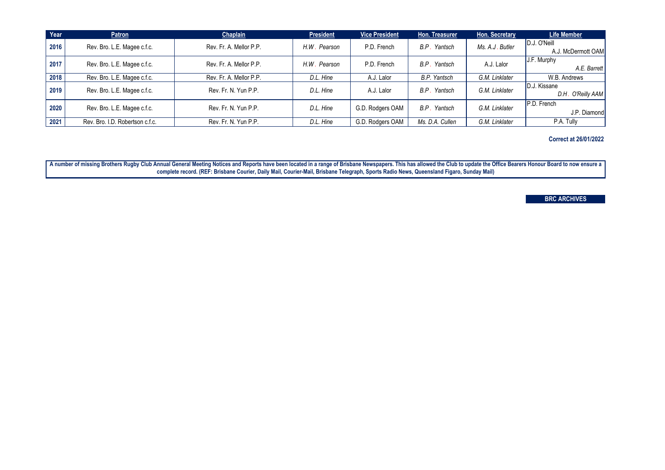A number of missing Brothers Rugby Club Annual General Meeting Notices and Reports have been located in a range of Brisbane Newspapers. This has allowed the Club to update the Office Bearers Honour Board to now ensure a **complete record. (REF: Brisbane Courier, Daily Mail, Courier-Mail, Brisbane Telegraph, Sports Radio News, Queensland Figaro, Sunday Mail)**

**Correct at 26/01/2022**

## **BRC ARCHIVES**

| Year | <b>Patron</b>                   | <b>Chaplain</b>         | <b>President</b>                                          | <b>Vice President</b> | Hon. Treasurer      | Hon. Secretary  | <b>Life Member</b> |                    |
|------|---------------------------------|-------------------------|-----------------------------------------------------------|-----------------------|---------------------|-----------------|--------------------|--------------------|
| 2016 | Rev. Bro. L.E. Magee c.f.c.     | Rev. Fr. A. Mellor P.P. | H.W. Pearson                                              | P.D. French           | B.P. Yantsch        | Ms. A.J. Butler | D.J. O'Neill       |                    |
|      |                                 |                         |                                                           |                       |                     |                 |                    | A.J. McDermott OAM |
|      |                                 |                         |                                                           |                       |                     | A.J. Lalor      | J.F. Murphy        |                    |
| 2017 | Rev. Bro. L.E. Magee c.f.c.     | Rev. Fr. A. Mellor P.P. | P.D. French<br>H.W. Pearson                               |                       | B.P. Yantsch        |                 | A.E. Barrett       |                    |
| 2018 | Rev. Bro. L.E. Magee c.f.c.     | Rev. Fr. A. Mellor P.P. | D.L. Hine                                                 | A.J. Lalor            | <b>B.P.</b> Yantsch | G.M. Linklater  | W.B. Andrews       |                    |
|      |                                 |                         | G.M. Linklater<br>B.P. Yantsch<br>D.L. Hine<br>A.J. Lalor |                       |                     |                 | D.J. Kissane       |                    |
| 2019 | Rev. Bro. L.E. Magee c.f.c.     | Rev. Fr. N. Yun P.P.    |                                                           |                       |                     |                 | D.H. O'Reilly AAM  |                    |
|      |                                 |                         |                                                           |                       |                     |                 | P.D. French        |                    |
| 2020 | Rev. Bro. L.E. Magee c.f.c.     | Rev. Fr. N. Yun P.P.    | D.L. Hine                                                 | G.D. Rodgers OAM      | B.P. Yantsch        | G.M. Linklater  | J.P. Diamond       |                    |
| 2021 | Rev. Bro. I.D. Robertson c.f.c. | Rev. Fr. N. Yun P.P.    | D.L. Hine                                                 | G.D. Rodgers OAM      | Ms. D.A. Cullen     | G.M. Linklater  | P.A. Tully         |                    |